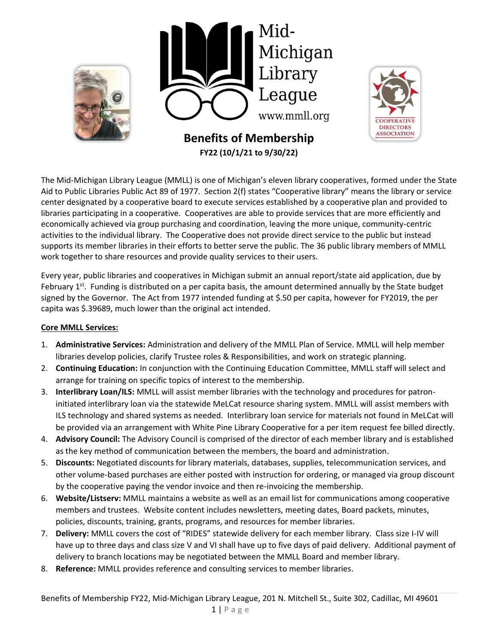

The Mid-Michigan Library League (MMLL) is one of Michigan's eleven library cooperatives, formed under the State Aid to Public Libraries Public Act 89 of 1977. Section 2(f) states "Cooperative library" means the library or service center designated by a cooperative board to execute services established by a cooperative plan and provided to libraries participating in a cooperative. Cooperatives are able to provide services that are more efficiently and economically achieved via group purchasing and coordination, leaving the more unique, community-centric activities to the individual library. The Cooperative does not provide direct service to the public but instead supports its member libraries in their efforts to better serve the public. The 36 public library members of MMLL work together to share resources and provide quality services to their users.

Every year, public libraries and cooperatives in Michigan submit an annual report/state aid application, due by February  $1^{st}$ . Funding is distributed on a per capita basis, the amount determined annually by the State budget signed by the Governor. The Act from 1977 intended funding at \$.50 per capita, however for FY2019, the per capita was \$.39689, much lower than the original act intended.

## **Core MMLL Services:**

- 1. **Administrative Services:** Administration and delivery of the MMLL Plan of Service. MMLL will help member libraries develop policies, clarify Trustee roles & Responsibilities, and work on strategic planning.
- 2. **Continuing Education:** In conjunction with the Continuing Education Committee, MMLL staff will select and arrange for training on specific topics of interest to the membership.
- 3. **Interlibrary Loan/ILS:** MMLL will assist member libraries with the technology and procedures for patroninitiated interlibrary loan via the statewide MeLCat resource sharing system. MMLL will assist members with ILS technology and shared systems as needed. Interlibrary loan service for materials not found in MeLCat will be provided via an arrangement with White Pine Library Cooperative for a per item request fee billed directly.
- 4. **Advisory Council:** The Advisory Council is comprised of the director of each member library and is established as the key method of communication between the members, the board and administration.
- 5. **Discounts:** Negotiated discounts for library materials, databases, supplies, telecommunication services, and other volume-based purchases are either posted with instruction for ordering, or managed via group discount by the cooperative paying the vendor invoice and then re-invoicing the membership.
- 6. **Website/Listserv:** MMLL maintains a website as well as an email list for communications among cooperative members and trustees. Website content includes newsletters, meeting dates, Board packets, minutes, policies, discounts, training, grants, programs, and resources for member libraries.
- 7. **Delivery:** MMLL covers the cost of "RIDES" statewide delivery for each member library. Class size I-IV will have up to three days and class size V and VI shall have up to five days of paid delivery. Additional payment of delivery to branch locations may be negotiated between the MMLL Board and member library.
- 8. **Reference:** MMLL provides reference and consulting services to member libraries.